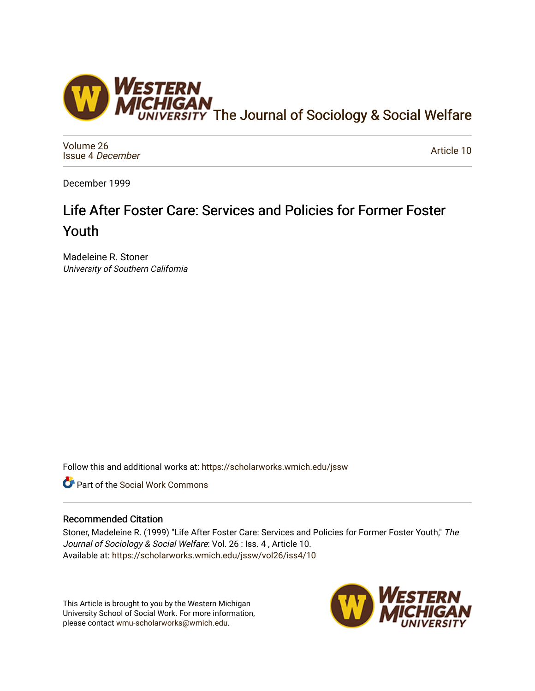

[Volume 26](https://scholarworks.wmich.edu/jssw/vol26) [Issue 4](https://scholarworks.wmich.edu/jssw/vol26/iss4) December

[Article 10](https://scholarworks.wmich.edu/jssw/vol26/iss4/10) 

December 1999

# Life After Foster Care: Services and Policies for Former Foster Youth

Madeleine R. Stoner University of Southern California

Follow this and additional works at: [https://scholarworks.wmich.edu/jssw](https://scholarworks.wmich.edu/jssw?utm_source=scholarworks.wmich.edu%2Fjssw%2Fvol26%2Fiss4%2F10&utm_medium=PDF&utm_campaign=PDFCoverPages) 

Part of the [Social Work Commons](http://network.bepress.com/hgg/discipline/713?utm_source=scholarworks.wmich.edu%2Fjssw%2Fvol26%2Fiss4%2F10&utm_medium=PDF&utm_campaign=PDFCoverPages)

## Recommended Citation

Stoner, Madeleine R. (1999) "Life After Foster Care: Services and Policies for Former Foster Youth," The Journal of Sociology & Social Welfare: Vol. 26 : Iss. 4, Article 10. Available at: [https://scholarworks.wmich.edu/jssw/vol26/iss4/10](https://scholarworks.wmich.edu/jssw/vol26/iss4/10?utm_source=scholarworks.wmich.edu%2Fjssw%2Fvol26%2Fiss4%2F10&utm_medium=PDF&utm_campaign=PDFCoverPages) 

This Article is brought to you by the Western Michigan University School of Social Work. For more information, please contact [wmu-scholarworks@wmich.edu.](mailto:wmu-scholarworks@wmich.edu)

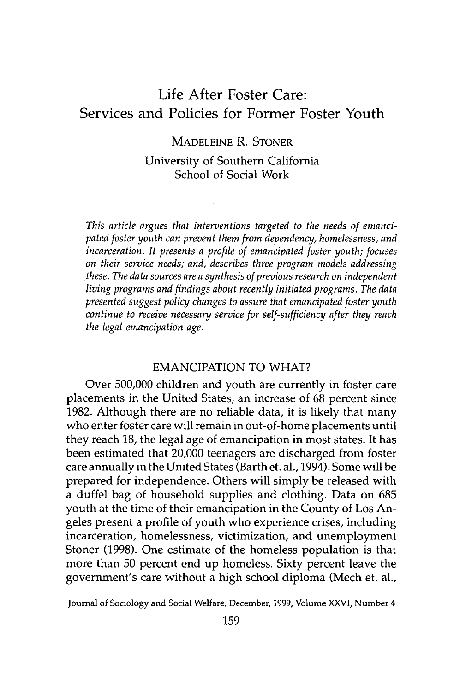## Life After Foster Care: Services and Policies for Former Foster Youth

MADELEINE R. STONER University of Southern California School of Social Work

*This article argues that interventions targeted to the needs of emancipated foster youth can prevent them from dependency, homelessness, and incarceration. It presents a profile of emancipated foster youth; focuses on their service needs; and, describes three program models addressing these. The data sources are a synthesis of previous research on independent living programs and findings about recently initiated programs. The data presented suggest policy changes to assure that emancipated foster youth continue to receive necessary service for self-sufficiency after they reach the legal emancipation age.*

## EMANCIPATION TO WHAT?

Over 500,000 children and youth are currently in foster care placements in the United States, an increase of 68 percent since 1982. Although there are no reliable data, it is likely that many who enter foster care will remain in out-of-home placements until they reach 18, the legal age of emancipation in most states. It has been estimated that 20,000 teenagers are discharged from foster care annually in the United States (Barth et. al., 1994). Some will be prepared for independence. Others will simply be released with a duffel bag of household supplies and clothing. Data on 685 youth at the time of their emancipation in the County of Los Angeles present a profile of youth who experience crises, including incarceration, homelessness, victimization, and unemployment Stoner (1998). One estimate of the homeless population is that more than 50 percent end up homeless. Sixty percent leave the government's care without a high school diploma (Mech et. al.,

Journal of Sociology and Social Welfare, December, **1999,** Volume XXVI, Number 4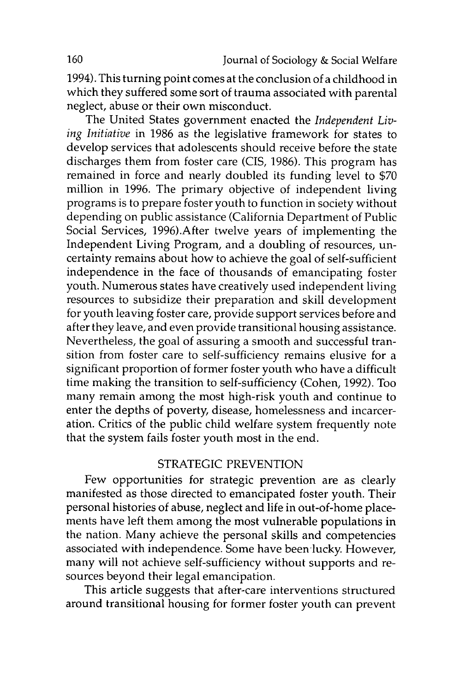1994). This turning point comes at the conclusion of a childhood in which they suffered some sort of trauma associated with parental neglect, abuse or their own misconduct.

The United States government enacted the *Independent Living Initiative* in 1986 as the legislative framework for states to develop services that adolescents should receive before the state discharges them from foster care (CIS, 1986). This program has remained in force and nearly doubled its funding level to \$70 million in 1996. The primary objective of independent living programs is to prepare foster youth to function in society without depending on public assistance (California Department of Public Social Services, 1996).After twelve years of implementing the Independent Living Program, and a doubling of resources, uncertainty remains about how to achieve the goal of self-sufficient independence in the face of thousands of emancipating foster youth. Numerous states have creatively used independent living resources to subsidize their preparation and skill development for youth leaving foster care, provide support services before and after they leave, and even provide transitional housing assistance. Nevertheless, the goal of assuring a smooth and successful transition from foster care to self-sufficiency remains elusive for a significant proportion of former foster youth who have a difficult time making the transition to self-sufficiency (Cohen, 1992). Too many remain among the most high-risk youth and continue to enter the depths of poverty, disease, homelessness and incarceration. Critics of the public child welfare system frequently note that the system fails foster youth most in the end.

## STRATEGIC PREVENTION

Few opportunities for strategic prevention are as clearly manifested as those directed to emancipated foster youth. Their personal histories of abuse, neglect and life in out-of-home placements have left them among the most vulnerable populations in the nation. Many achieve the personal skills and competencies associated with independence. Some have been lucky. However, many will not achieve self-sufficiency without supports and resources beyond their legal emancipation.

This article suggests that after-care interventions structured around transitional housing for former foster youth can prevent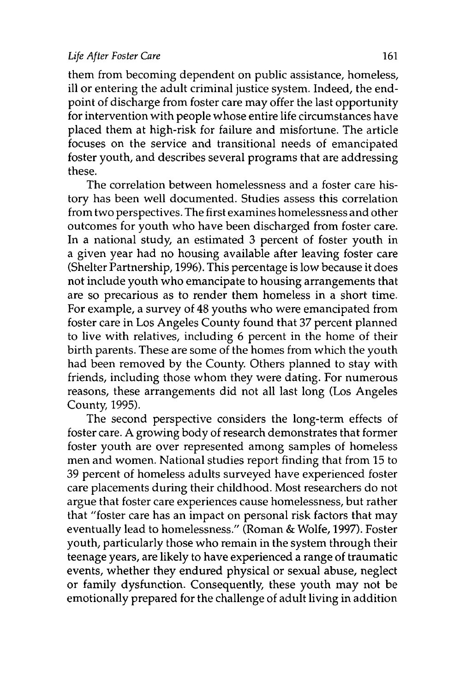them from becoming dependent on public assistance, homeless, ill or entering the adult criminal justice system. Indeed, the endpoint of discharge from foster care may offer the last opportunity for intervention with people whose entire life circumstances have placed them at high-risk for failure and misfortune. The article focuses on the service and transitional needs of emancipated foster youth, and describes several programs that are addressing these.

The correlation between homelessness and a foster care history has been well documented. Studies assess this correlation from two perspectives. The first examines homelessness and other outcomes for youth who have been discharged from foster care. In a national study, an estimated 3 percent of foster youth in a given year had no housing available after leaving foster care (Shelter Partnership, 1996). This percentage is low because it does not include youth who emancipate to housing arrangements that are so precarious as to render them homeless in a short time. For example, a survey of 48 youths who were emancipated from foster care in Los Angeles County found that 37 percent planned to live with relatives, including 6 percent in the home of their birth parents. These are some of the homes from which the youth had been removed by the County. Others planned to stay with friends, including those whom they were dating. For numerous reasons, these arrangements did not all last long (Los Angeles County, 1995).

The second perspective considers the long-term effects of foster care. A growing body of research demonstrates that former foster youth are over represented among samples of homeless men and women. National studies report finding that from 15 to 39 percent of homeless adults surveyed have experienced foster care placements during their childhood. Most researchers do not argue that foster care experiences cause homelessness, but rather that "foster care has an impact on personal risk factors that may eventually lead to homelessness." (Roman & Wolfe, 1997). Foster youth, particularly those who remain in the system through their teenage years, are likely to have experienced a range of traumatic events, whether they endured physical or sexual abuse, neglect or family dysfunction. Consequently, these youth may not be emotionally prepared for the challenge of adult living in addition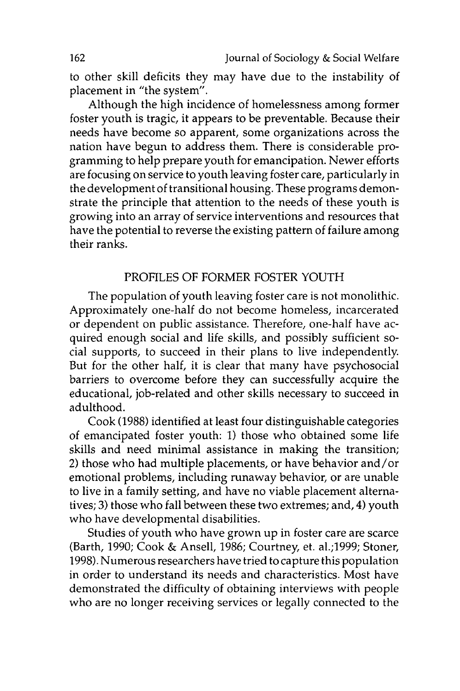to other skill deficits they may have due to the instability of placement in "the system".

Although the high incidence of homelessness among former foster youth is tragic, it appears to be preventable. Because their needs have become so apparent, some organizations across the nation have begun to address them. There is considerable programming to help prepare youth for emancipation. Newer efforts are focusing on service to youth leaving foster care, particularly in the development of transitional housing. These programs demonstrate the principle that attention to the needs of these youth is growing into an array of service interventions and resources that have the potential to reverse the existing pattern of failure among their ranks.

## PROFILES OF FORMER FOSTER YOUTH

The population of youth leaving foster care is not monolithic. Approximately one-half do not become homeless, incarcerated or dependent on public assistance. Therefore, one-half have acquired enough social and life skills, and possibly sufficient social supports, to succeed in their plans to live independently. But for the other half, it is clear that many have psychosocial barriers to overcome before they can successfully acquire the educational, job-related and other skills necessary to succeed in adulthood.

Cook (1988) identified at least four distinguishable categories of emancipated foster youth: 1) those who obtained some life skills and need minimal assistance in making the transition; 2) those who had multiple placements, or have behavior and/or emotional problems, including runaway behavior, or are unable to live in a family setting, and have no viable placement alternatives; 3) those who fall between these two extremes; and, 4) youth who have developmental disabilities.

Studies of youth who have grown up in foster care are scarce (Barth, 1990; Cook & Ansell, 1986; Courtney, et. al.;1999; Stoner, 1998). Numerous researchers have tried to capture this population in order to understand its needs and characteristics. Most have demonstrated the difficulty of obtaining interviews with people who are no longer receiving services or legally connected to the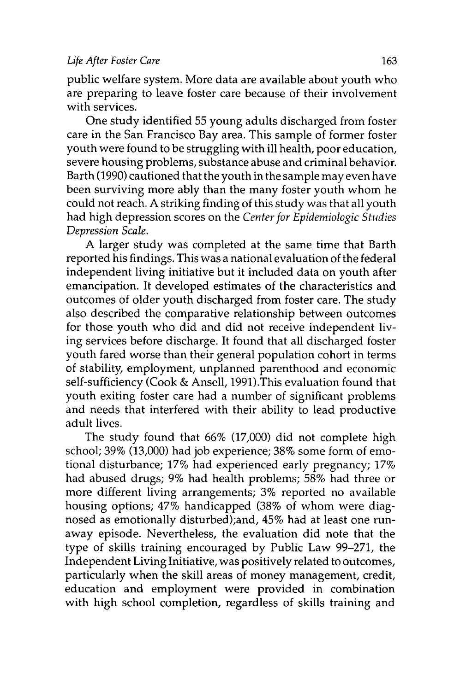public welfare system. More data are available about youth who are preparing to leave foster care because of their involvement with services.

One study identified 55 young adults discharged from foster care in the San Francisco Bay area. This sample of former foster youth were found to be struggling with ill health, poor education, severe housing problems, substance abuse and criminal behavior. Barth (1990) cautioned that the youth in the sample may even have been surviving more ably than the many foster youth whom he could not reach. A striking finding of this study was that all youth had high depression scores on the *Center for Epidemiologic Studies Depression Scale.*

A larger study was completed at the same time that Barth reported his findings. This was a national evaluation of the federal independent living initiative but it included data on youth after emancipation. It developed estimates of the characteristics and outcomes of older youth discharged from foster care. The study also described the comparative relationship between outcomes for those youth who did and did not receive independent living services before discharge. It found that all discharged foster youth fared worse than their general population cohort in terms of stability, employment, unplanned parenthood and economic self-sufficiency (Cook & Ansell, 1991).This evaluation found that youth exiting foster care had a number of significant problems and needs that interfered with their ability to lead productive adult lives.

The study found that 66% (17,000) did not complete high school; 39% (13,000) had job experience; 38% some form of emotional disturbance; 17% had experienced early pregnancy; 17% had abused drugs; 9% had health problems; 58% had three or more different living arrangements; 3% reported no available housing options; 47% handicapped (38% of whom were diagnosed as emotionally disturbed);and, 45% had at least one runaway episode. Nevertheless, the evaluation did note that the type of skills training encouraged by Public Law 99-271, the Independent Living Initiative, was positively related to outcomes, particularly when the skill areas of money management, credit, education and employment were provided in combination with high school completion, regardless of skills training and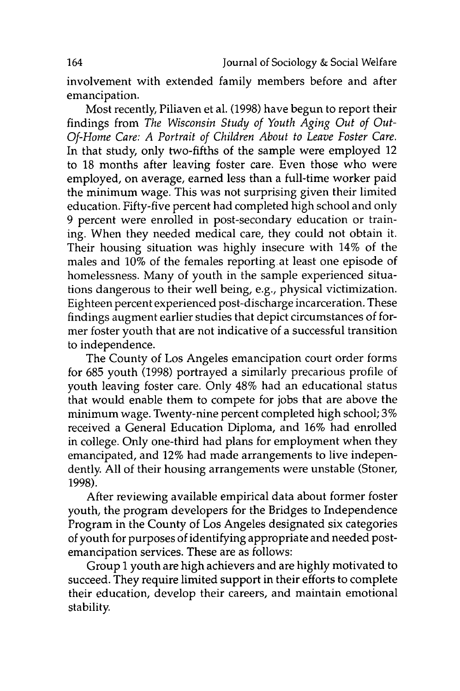involvement with extended family members before and after emancipation.

Most recently, Piliaven et al. (1998) have begun to report their findings from *The Wisconsin Study of Youth Aging Out of Out-Of-Home Care: A Portrait of Children About to Leave Foster Care.* In that study, only two-fifths of the sample were employed 12 to 18 months after leaving foster care. Even those who were employed, on average, earned less than a full-time worker paid the minimum wage. This was not surprising given their limited education. Fifty-five percent had completed high school and only 9 percent were enrolled in post-secondary education or training. When they needed medical care, they could not obtain it. Their housing situation was highly insecure with 14% of the males and 10% of the females reporting at least one episode of homelessness. Many of youth in the sample experienced situations dangerous to their well being, e.g., physical victimization. Eighteen percent experienced post-discharge incarceration. These findings augment earlier studies that depict circumstances of former foster youth that are not indicative of a successful transition to independence.

The County of Los Angeles emancipation court order forms for 685 youth (1998) portrayed a similarly precarious profile of youth leaving foster care. Only 48% had an educational status that would enable them to compete for jobs that are above the minimum wage. Twenty-nine percent completed high school; 3% received a General Education Diploma, and 16% had enrolled in college. Only one-third had plans for employment when they emancipated, and 12% had made arrangements to live independently. All of their housing arrangements were unstable (Stoner, 1998).

After reviewing available empirical data about former foster youth, the program developers for the Bridges to Independence Program in the County of Los Angeles designated six categories of youth for purposes of identifying appropriate and needed postemancipation services. These are as follows:

Group **1** youth are high achievers and are highly motivated to succeed. They require limited support in their efforts to complete their education, develop their careers, and maintain emotional stability.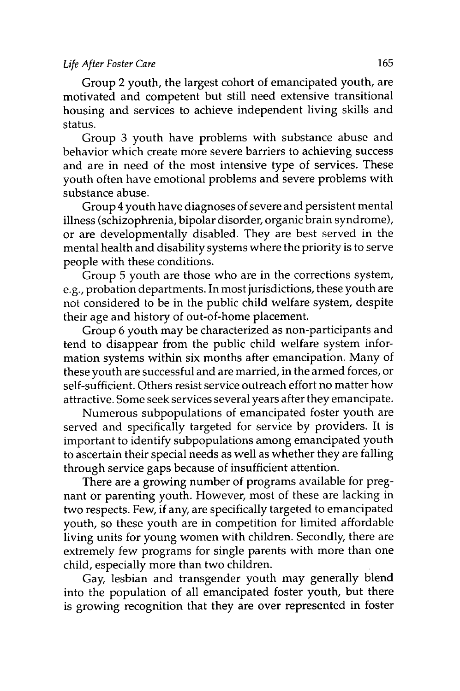Group 2 youth, the largest cohort of emancipated youth, are motivated and competent but still need extensive transitional housing and services to achieve independent living skills and status.

Group 3 youth have problems with substance abuse and behavior which create more severe barriers to achieving success and are in need of the most intensive type of services. These youth often have emotional problems and severe problems with substance abuse.

Group 4 youth have diagnoses of severe and persistent mental illness (schizophrenia, bipolar disorder, organic brain syndrome), or are developmentally disabled. They are best served in the mental health and disability systems where the priority is to serve people with these conditions.

Group 5 youth are those who are in the corrections system, e.g., probation departments. In most jurisdictions, these youth are not considered to be in the public child welfare system, despite their age and history of out-of-home placement.

Group 6 youth may be characterized as non-participants and tend to disappear from the public child welfare system information systems within six months after emancipation. Many of these youth are successful and are married, in the armed forces, or self-sufficient. Others resist service outreach effort no matter how attractive. Some seek services several years after they emancipate.

Numerous subpopulations of emancipated foster youth are served and specifically targeted for service by providers. It is important to identify subpopulations among emancipated youth to ascertain their special needs as well as whether they are falling through service gaps because of insufficient attention.

There are a growing number of programs available for pregnant or parenting youth. However, most of these are lacking in two respects. Few, if any, are specifically targeted to emancipated youth, so these youth are in competition for limited affordable living units for young women with children. Secondly, there are extremely few programs for single parents with more than one child, especially more than two children.

Gay, lesbian and transgender youth may generally blend into the population of all emancipated foster youth, but there is growing recognition that they are over represented in foster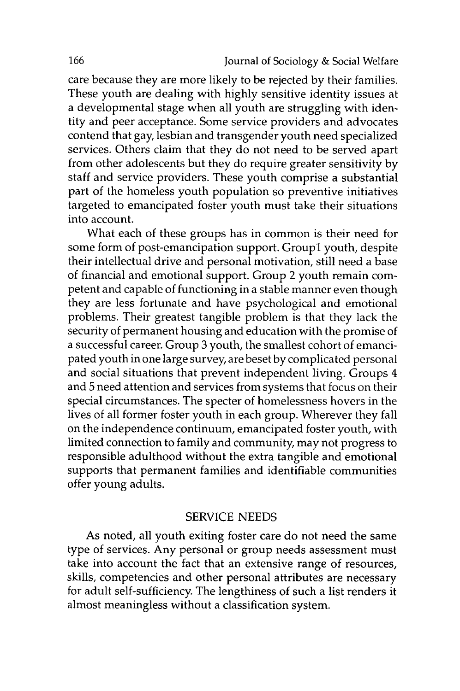care because they are more likely to be rejected by their families. These youth are dealing with highly sensitive identity issues at a developmental stage when all youth are struggling with identity and peer acceptance. Some service providers and advocates contend that gay, lesbian and transgender youth need specialized services. Others claim that they do not need to be served apart from other adolescents but they do require greater sensitivity by staff and service providers. These youth comprise a substantial part of the homeless youth population so preventive initiatives targeted to emancipated foster youth must take their situations into account.

What each of these groups has in common is their need for some form of post-emancipation support. GroupI youth, despite their intellectual drive and personal motivation, still need a base of financial and emotional support. Group 2 youth remain competent and capable of functioning in a stable manner even though they are less fortunate and have psychological and emotional problems. Their greatest tangible problem is that they lack the security of permanent housing and education with the promise of a successful career. Group 3 youth, the smallest cohort of emancipated youth in one large survey, are beset by complicated personal and social situations that prevent independent living. Groups 4 and 5 need attention and services from systems that focus on their special circumstances. The specter of homelessness hovers in the lives of all former foster youth in each group. Wherever they fall on the independence continuum, emancipated foster youth, with limited connection to family and community, may not progress to responsible adulthood without the extra tangible and emotional supports that permanent families and identifiable communities offer young adults.

#### SERVICE NEEDS

As noted, all youth exiting foster care do not need the same type of services. Any personal or group needs assessment must take into account the fact that an extensive range of resources, skills, competencies and other personal attributes are necessary for adult self-sufficiency The lengthiness of such a list renders it almost meaningless without a classification system.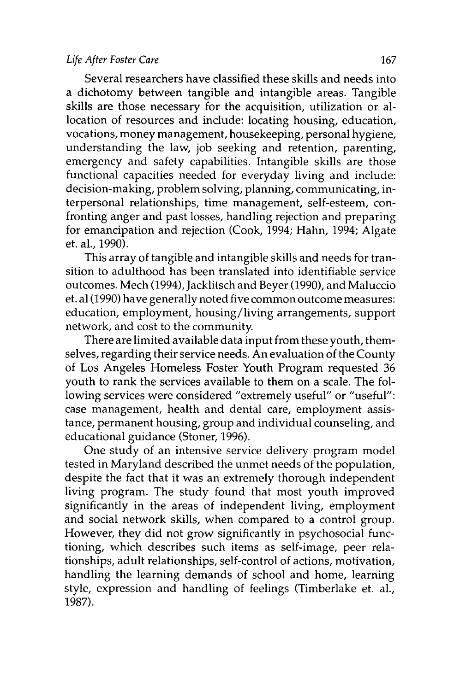Several researchers have classified these skills and needs into a dichotomy between tangible and intangible areas. Tangible skills are those necessary for the acquisition, utilization or allocation of resources and include: locating housing, education, vocations, money management, housekeeping, personal hygiene, understanding the law, job seeking and retention, parenting, emergency and safety capabilities. Intangible skills are those functional capacities needed for everyday living and include: decision-making, problem solving, planning, communicating, interpersonal relationships, time management, self-esteem, confronting anger and past losses, handling rejection and preparing for emancipation and rejection (Cook, 1994; Hahn, 1994; Algate et. al., 1990).

This array of tangible and intangible skills and needs for transition to adulthood has been translated into identifiable service outcomes. Mech (1994), Jacklitsch and Beyer (1990), and Maluccio et. al (1990) have generally noted five common outcome measures: education, employment, housing/living arrangements, support network, and cost to the community

There are limited available data input from these youth, themselves, regarding their service needs. An evaluation of the County of Los Angeles Homeless Foster Youth Program requested 36 youth to rank the services available to them on a scale. The following services were considered "extremely useful" or "useful": case management, health and dental care, employment assistance, permanent housing, group and individual counseling, and educational guidance (Stoner, 1996).

One study of an intensive service delivery program model tested in Maryland described the unmet needs of the population, despite the fact that it was an extremely thorough independent living program. The study found that most youth improved significantly in the areas of independent living, employment and social network skills, when compared to a control group. However, they did not grow significantly in psychosocial functioning, which describes such items as self-image, peer relationships, adult relationships, self-control of actions, motivation, handling the learning demands of school and home, learning style, expression and handling of feelings (Timberlake et. al., 1987).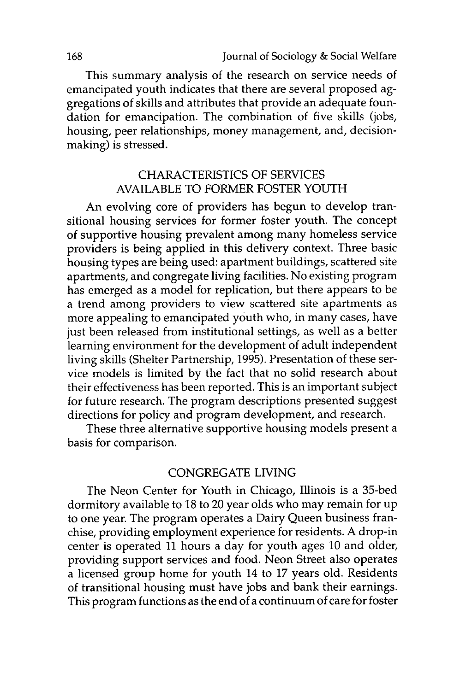This summary analysis of the research on service needs of emancipated youth indicates that there are several proposed aggregations of skills and attributes that provide an adequate foundation for emancipation. The combination of five skills (jobs, housing, peer relationships, money management, and, decisionmaking) is stressed.

## CHARACTERISTICS OF SERVICES AVAILABLE TO FORMER FOSTER YOUTH

An evolving core of providers has begun to develop transitional housing services for former foster youth. The concept of supportive housing prevalent among many homeless service providers is being applied in this delivery context. Three basic housing types are being used: apartment buildings, scattered site apartments, and congregate living facilities. No existing program has emerged as a model for replication, but there appears to be a trend among providers to view scattered site apartments as more appealing to emancipated youth who, in many cases, have just been released from institutional settings, as well as a better learning environment for the development of adult independent living skills (Shelter Partnership, 1995). Presentation of these service models is limited by the fact that no solid research about their effectiveness has been reported. This is an important subject for future research. The program descriptions presented suggest directions for policy and program development, and research.

These three alternative supportive housing models present a basis for comparison.

## CONGREGATE LIVING

The Neon Center for Youth in Chicago, Illinois is a 35-bed dormitory available to 18 to 20 year olds who may remain for up to one year. The program operates a Dairy Queen business franchise, providing employment experience for residents. A drop-in center is operated 11 hours a day for youth ages 10 and older, providing support services and food. Neon Street also operates a licensed group home for youth 14 to 17 years old. Residents of transitional housing must have jobs and bank their earnings. This program functions as the end of a continuum of care for foster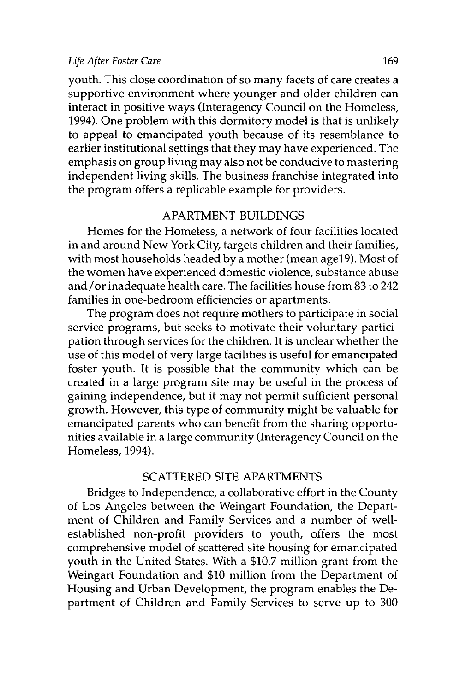youth. This close coordination of so many facets of care creates a supportive environment where younger and older children can interact in positive ways (Interagency Council on the Homeless, 1994). One problem with this dormitory model is that is unlikely to appeal to emancipated youth because of its resemblance to earlier institutional settings that they may have experienced. The emphasis on group living may also not be conducive to mastering independent living skills. The business franchise integrated into the program offers a replicable example for providers.

#### APARTMENT BUILDINGS

Homes for the Homeless, a network of four facilities located in and around New York City, targets children and their families, with most households headed by a mother (mean age19). Most of the women have experienced domestic violence, substance abuse and/or inadequate health care. The facilities house from 83 to 242 families in one-bedroom efficiencies or apartments.

The program does not require mothers to participate in social service programs, but seeks to motivate their voluntary participation through services for the children. It is unclear whether the use of this model of very large facilities is useful for emancipated foster youth. It is possible that the community which can be created in a large program site may be useful in the process of gaining independence, but it may not permit sufficient personal growth. However, this type of community might be valuable for emancipated parents who can benefit from the sharing opportunities available in a large community (Interagency Council on the Homeless, 1994).

## SCATTERED SITE APARTMENTS

Bridges to Independence, a collaborative effort in the County of Los Angeles between the Weingart Foundation, the Department of Children and Family Services and a number of wellestablished non-profit providers to youth, offers the most comprehensive model of scattered site housing for emancipated youth in the United States. With a \$10.7 million grant from the Weingart Foundation and \$10 million from the Department of Housing and Urban Development, the program enables the Department of Children and Family Services to serve up to 300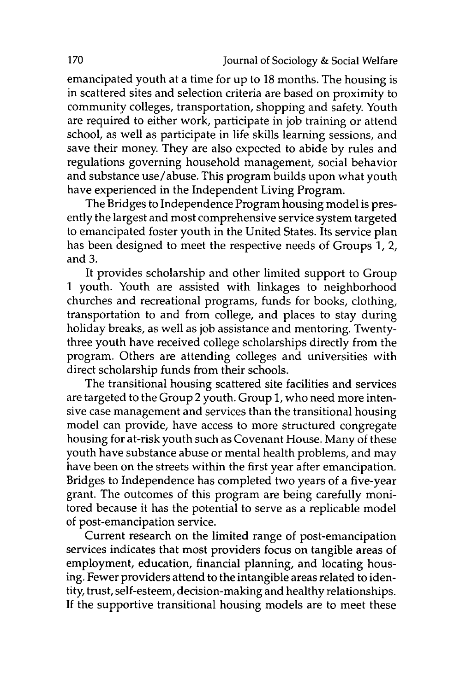emancipated youth at a time for up to 18 months. The housing is in scattered sites and selection criteria are based on proximity to community colleges, transportation, shopping and safety. Youth are required to either work, participate in job training or attend school, as well as participate in life skills learning sessions, and save their money. They are also expected to abide by rules and regulations governing household management, social behavior and substance use/abuse. This program builds upon what youth have experienced in the Independent Living Program.

The Bridges to Independence Program housing model is presently the largest and most comprehensive service system targeted to emancipated foster youth in the United States. Its service plan has been designed to meet the respective needs of Groups 1, 2, and **3.**

It provides scholarship and other limited support to Group 1 youth. Youth are assisted with linkages to neighborhood churches and recreational programs, funds for books, clothing, transportation to and from college, and places to stay during holiday breaks, as well as job assistance and mentoring. Twentythree youth have received college scholarships directly from the program. Others are attending colleges and universities with direct scholarship funds from their schools.

The transitional housing scattered site facilities and services are targeted to the Group 2 youth. Group 1, who need more intensive case management and services than the transitional housing model can provide, have access to more structured congregate housing for at-risk youth such as Covenant House. Many of these youth have substance abuse or mental health problems, and may have been on the streets within the first year after emancipation. Bridges to Independence has completed two years of a five-year grant. The outcomes of this program are being carefully monitored because it has the potential to serve as a replicable model of post-emancipation service.

Current research on the limited range of post-emancipation services indicates that most providers focus on tangible areas of employment, education, financial planning, and locating housing. Fewer providers attend to the intangible areas related to identity, trust, self-esteem, decision-making and healthy relationships. If the supportive transitional housing models are to meet these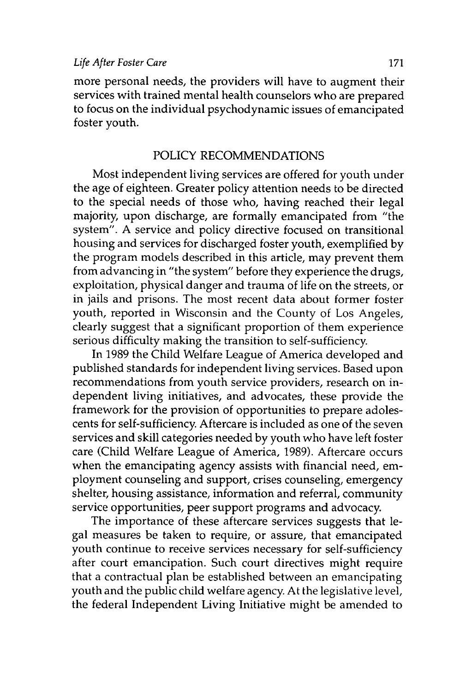more personal needs, the providers will have to augment their services with trained mental health counselors who are prepared to focus on the individual psychodynamic issues of emancipated foster youth.

#### POLICY RECOMMENDATIONS

Most independent living services are offered for youth under the age of eighteen. Greater policy attention needs to be directed to the special needs of those who, having reached their legal majority, upon discharge, are formally emancipated from "the system". A service and policy directive focused on transitional housing and services for discharged foster youth, exemplified by the program models described in this article, may prevent them from advancing in "the system" before they experience the drugs, exploitation, physical danger and trauma of life on the streets, or in jails and prisons. The most recent data about former foster youth, reported in Wisconsin and the County of Los Angeles, clearly suggest that a significant proportion of them experience serious difficulty making the transition to self-sufficiency.

In 1989 the Child Welfare League of America developed and published standards for independent living services. Based upon recommendations from youth service providers, research on independent living initiatives, and advocates, these provide the framework for the provision of opportunities to prepare adolescents for self-sufficiency Aftercare is included as one of the seven services and skill categories needed by youth who have left foster care (Child Welfare League of America, 1989). Aftercare occurs when the emancipating agency assists with financial need, employment counseling and support, crises counseling, emergency shelter, housing assistance, information and referral, community service opportunities, peer support programs and advocacy.

The importance of these aftercare services suggests that legal measures be taken to require, or assure, that emancipated youth continue to receive services necessary for self-sufficiency after court emancipation. Such court directives might require that a contractual plan be established between an emancipating youth and the public child welfare agency. At the legislative level, the federal Independent Living Initiative might be amended to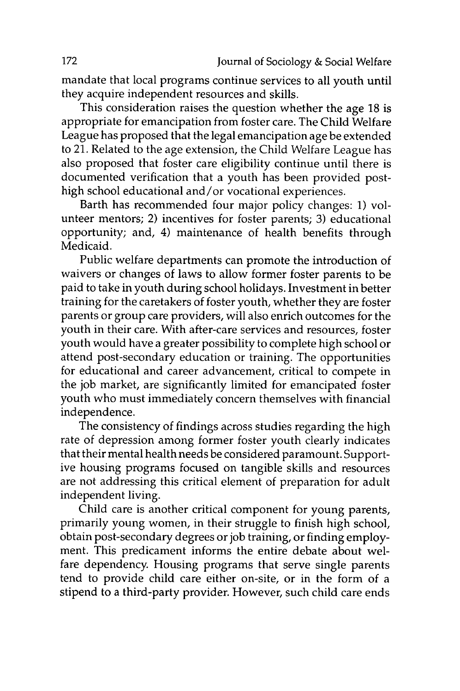mandate that local programs continue services to all youth until they acquire independent resources and skills.

This consideration raises the question whether the age 18 is appropriate for emancipation from foster care. The Child Welfare League has proposed that the legal emancipation age be extended to 21. Related to the age extension, the Child Welfare League has also proposed that foster care eligibility continue until there is documented verification that a youth has been provided posthigh school educational and/or vocational experiences.

Barth has recommended four major policy changes: 1) volunteer mentors; 2) incentives for foster parents; 3) educational opportunity; and, 4) maintenance of health benefits through Medicaid.

Public welfare departments can promote the introduction of waivers or changes of laws to allow former foster parents to be paid to take in youth during school holidays. Investment in better training for the caretakers of foster youth, whether they are foster parents or group care providers, will also enrich outcomes for the youth in their care. With after-care services and resources, foster youth would have a greater possibility to complete high school or attend post-secondary education or training. The opportunities for educational and career advancement, critical to compete in the job market, are significantly limited for emancipated foster youth who must immediately concern themselves with financial independence.

The consistency of findings across studies regarding the high rate of depression among former foster youth clearly indicates that their mental health needs be considered paramount. Supportive housing programs focused on tangible skills and resources are not addressing this critical element of preparation for adult independent living.

Child care is another critical component for young parents, primarily young women, in their struggle to finish high school, obtain post-secondary degrees or job training, or finding employment. This predicament informs the entire debate about welfare dependency. Housing programs that serve single parents tend to provide child care either on-site, or in the form of a stipend to a third-party provider. However, such child care ends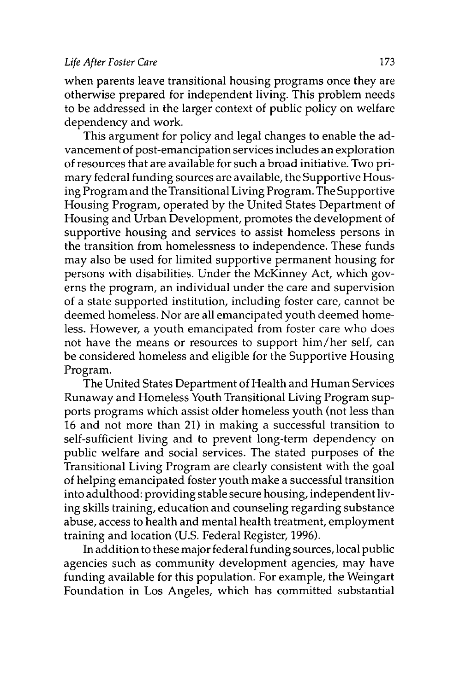when parents leave transitional housing programs once they are otherwise prepared for independent living. This problem needs to be addressed in the larger context of public policy on welfare dependency and work.

This argument for policy and legal changes to enable the advancement of post-emancipation services includes an exploration of resources that are available for such a broad initiative. Two primary federal funding sources are available, the Supportive Housing Program and the Transitional Living Program. The Supportive Housing Program, operated by the United States Department of Housing and Urban Development, promotes the development of supportive housing and services to assist homeless persons in the transition from homelessness to independence. These funds may also be used for limited supportive permanent housing for persons with disabilities. Under the McKinney Act, which governs the program, an individual under the care and supervision of a state supported institution, including foster care, cannot be deemed homeless. Nor are all emancipated youth deemed homeless. However, a youth emancipated from foster care who does not have the means or resources to support him/her self, can be considered homeless and eligible for the Supportive Housing Program.

The United States Department of Health and Human Services Runaway and Homeless Youth Transitional Living Program supports programs which assist older homeless youth (not less than 16 and not more than 21) in making a successful transition to self-sufficient living and to prevent long-term dependency on public welfare and social services. The stated purposes of the Transitional Living Program are clearly consistent with the goal of helping emancipated foster youth make a successful transition into adulthood: providing stable secure housing, independent living skills training, education and counseling regarding substance abuse, access to health and mental health treatment, employment training and location (U.S. Federal Register, 1996).

In addition to these major federal funding sources, local public agencies such as community development agencies, may have funding available for this population. For example, the Weingart Foundation in Los Angeles, which has committed substantial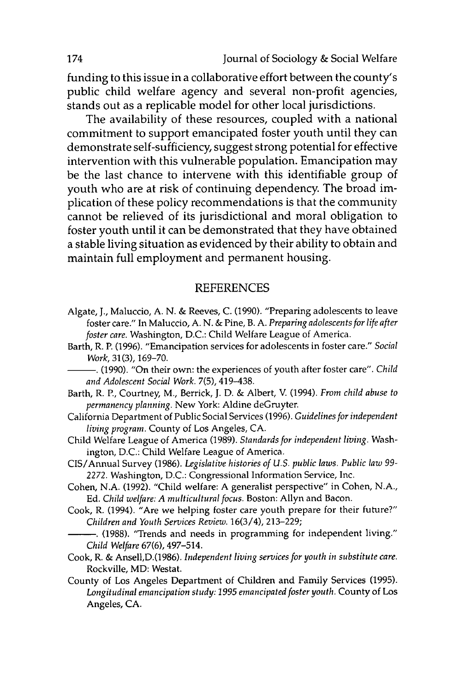funding to this issue in a collaborative effort between the county's public child welfare agency and several non-profit agencies, stands out as a replicable model for other local jurisdictions.

The availability of these resources, coupled with a national commitment to support emancipated foster youth until they can demonstrate self-sufficiency, suggest strong potential for effective intervention with this vulnerable population. Emancipation may be the last chance to intervene with this identifiable group of youth who are at risk of continuing dependency. The broad implication of these policy recommendations is that the community cannot be relieved of its jurisdictional and moral obligation to foster youth until it can be demonstrated that they have obtained a stable living situation as evidenced **by** their ability to obtain and maintain full employment and permanent housing.

#### **REFERENCES**

- Algate, **J.,** Maluccio, **A. N. &** Reeves, **C. (1990).** "Preparing adolescents to leave foster care." In Maluccio, **A. N. &** Pine, B. **A.** *Preparing adolescents for life after foster care.* Washington, **D.C.:** Child Welfare League of America.
- Barth, R. P. **(1996).** "Emancipation services for adolescents in foster care." *Social Work,* **31(3), 169-70.**
	- **-. (1990).** "On their own: the experiences of youth after foster care". *Child and Adolescent Social Work.* **7(5),** 419-438.
- Barth, R. P., Courtney, M., Berrick, **J. D. &** Albert, V. (1994). *From child abuse to permanency planning.* New York: Aldine deGruyter.
- California Department of Public Social Services **(1996).** *Guidelines for independent living program.* County of Los Angeles, **CA.**
- Child Welfare League of America **(1989).** *Standards for independent living.* Washington, **D.C.:** Child Welfare League of America.
- CIS/Annual Survey **(1986).** *Legislative histories of U.S. public laws. Public law 99- 2272.* Washington, **D.C.:** Congressional Information Service, Inc.
- Cohen, **N.A. (1992).** "Child welfare: **A** generalist perspective" in Cohen, **N.A., Ed.** *Child welfare: A multicultural focus.* Boston: Allyn and Bacon.
- Cook, R. (1994). "Are we helping foster care youth prepare for their future?" *Children and Youth Services Review.* 16(3/4), **213-229;**
	- **-. (1988).** "Trends and needs in programming for independent living." *Child Welfare* **67(6),** 497-514.
- Cook, R. **&** Ansell,D.(1986). *Independent living services for youth in substitute care.* Rockville, MD: Westat.
- County of Los Angeles Department of Children and Family Services **(1995).** *Longitudinal emancipation study: 1995 emancipated foster youth.* County of Los Angeles, **CA.**